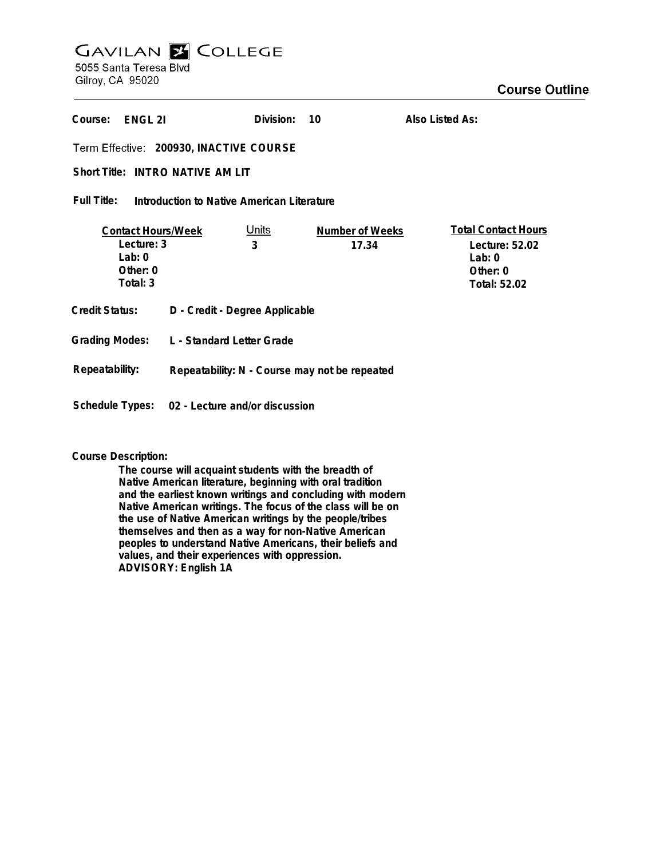# **GAVILAN Z COLLEGE** 5055 Santa Teresa Blvd

Gilroy, CA 95020

| Course:<br>ENGL 21                                                            |                                               | Division:         | 10                       | Also Listed As:                                                                      |  |
|-------------------------------------------------------------------------------|-----------------------------------------------|-------------------|--------------------------|--------------------------------------------------------------------------------------|--|
| Term Effective: 200930, INACTIVE COURSE                                       |                                               |                   |                          |                                                                                      |  |
| Short Title: INTRO NATIVE AM LIT                                              |                                               |                   |                          |                                                                                      |  |
| Full Title:<br>Introduction to Native American Literature                     |                                               |                   |                          |                                                                                      |  |
| <b>Contact Hours/Week</b><br>Lecture: 3<br>Lab: $0$<br>Other: $0$<br>Total: 3 |                                               | <u>Units</u><br>3 | Number of Weeks<br>17.34 | <b>Total Contact Hours</b><br>Lecture: 52.02<br>Lab: $0$<br>Other: 0<br>Total: 52.02 |  |
| Credit Status:                                                                | D - Credit - Degree Applicable                |                   |                          |                                                                                      |  |
| <b>Grading Modes:</b>                                                         | L - Standard Letter Grade                     |                   |                          |                                                                                      |  |
| Repeatability:                                                                | Repeatability: N - Course may not be repeated |                   |                          |                                                                                      |  |
| Schedule Types:                                                               | 02 - Lecture and/or discussion                |                   |                          |                                                                                      |  |

### **Course Description:**

**The course will acquaint students with the breadth of Native American literature, beginning with oral tradition and the earliest known writings and concluding with modern Native American writings. The focus of the class will be on the use of Native American writings by the people/tribes themselves and then as a way for non-Native American peoples to understand Native Americans, their beliefs and values, and their experiences with oppression. ADVISORY: English 1A**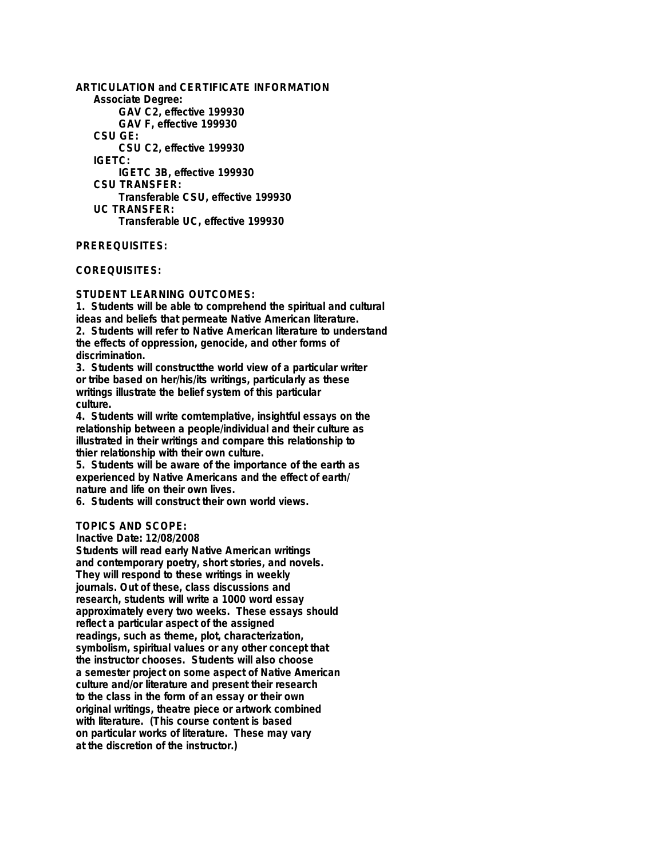**ARTICULATION and CERTIFICATE INFORMATION Associate Degree: GAV C2, effective 199930 GAV F, effective 199930 CSU GE: CSU C2, effective 199930 IGETC: IGETC 3B, effective 199930 CSU TRANSFER: Transferable CSU, effective 199930 UC TRANSFER: Transferable UC, effective 199930**

**PREREQUISITES:**

**COREQUISITES:**

#### **STUDENT LEARNING OUTCOMES:**

**1. Students will be able to comprehend the spiritual and cultural ideas and beliefs that permeate Native American literature. 2. Students will refer to Native American literature to understand the effects of oppression, genocide, and other forms of discrimination.**

**3. Students will constructthe world view of a particular writer or tribe based on her/his/its writings, particularly as these writings illustrate the belief system of this particular culture.**

**4. Students will write comtemplative, insightful essays on the relationship between a people/individual and their culture as illustrated in their writings and compare this relationship to thier relationship with their own culture.**

**5. Students will be aware of the importance of the earth as experienced by Native Americans and the effect of earth/ nature and life on their own lives.**

**6. Students will construct their own world views.**

#### **TOPICS AND SCOPE:**

**Inactive Date: 12/08/2008**

**Students will read early Native American writings and contemporary poetry, short stories, and novels. They will respond to these writings in weekly journals. Out of these, class discussions and research, students will write a 1000 word essay approximately every two weeks. These essays should reflect a particular aspect of the assigned readings, such as theme, plot, characterization, symbolism, spiritual values or any other concept that the instructor chooses. Students will also choose a semester project on some aspect of Native American culture and/or literature and present their research to the class in the form of an essay or their own original writings, theatre piece or artwork combined with literature. (This course content is based on particular works of literature. These may vary at the discretion of the instructor.)**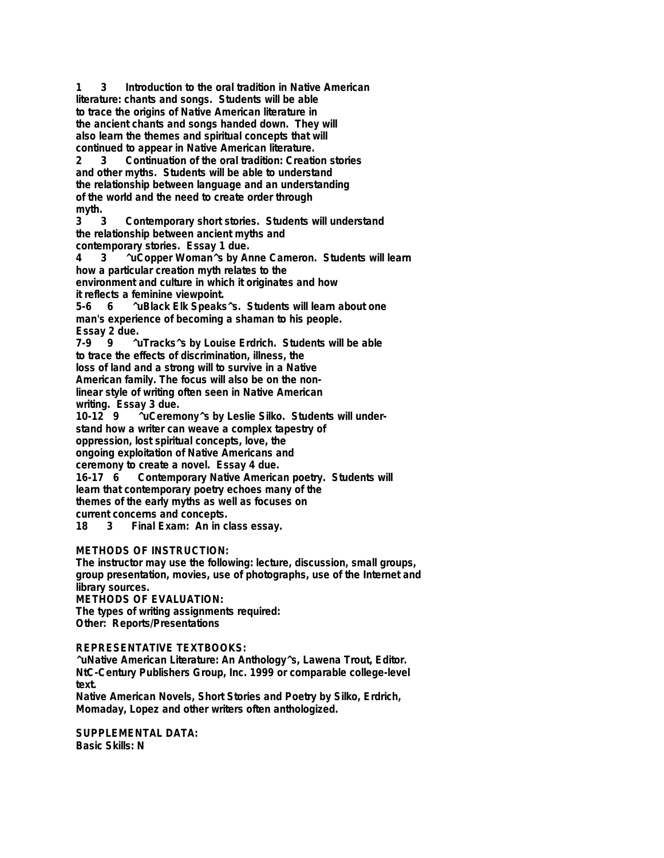**1 3 Introduction to the oral tradition in Native American literature: chants and songs. Students will be able to trace the origins of Native American literature in the ancient chants and songs handed down. They will also learn the themes and spiritual concepts that will continued to appear in Native American literature.**

**2 3 Continuation of the oral tradition: Creation stories and other myths. Students will be able to understand the relationship between language and an understanding of the world and the need to create order through** myth.<br> $\frac{3}{3}$ 

**3 3 Contemporary short stories. Students will understand the relationship between ancient myths and contemporary stories. Essay 1 due.**

**4 3 ^uCopper Woman^s by Anne Cameron. Students will learn how a particular creation myth relates to the environment and culture in which it originates and how**

**it reflects a feminine viewpoint.**

**5-6 6 ^uBlack Elk Speaks^s. Students will learn about one man's experience of becoming a shaman to his people. Essay 2 due.**

**7-9 9 ^uTracks^s by Louise Erdrich. Students will be able to trace the effects of discrimination, illness, the loss of land and a strong will to survive in a Native**

**American family. The focus will also be on the nonlinear style of writing often seen in Native American**

**writing. Essay 3 due.** <sup>^</sup>uCeremony^s by Leslie Silko. Students will under**stand how a writer can weave a complex tapestry of oppression, lost spiritual concepts, love, the ongoing exploitation of Native Americans and ceremony to create a novel. Essay 4 due.**

**16-17 6 Contemporary Native American poetry. Students will learn that contemporary poetry echoes many of the themes of the early myths as well as focuses on current concerns and concepts.**

**18 3 Final Exam: An in class essay.**

# **METHODS OF INSTRUCTION:**

**The instructor may use the following: lecture, discussion, small groups, group presentation, movies, use of photographs, use of the Internet and library sources.**

**METHODS OF EVALUATION:**

**The types of writing assignments required: Other: Reports/Presentations**

## **REPRESENTATIVE TEXTBOOKS:**

**^uNative American Literature: An Anthology^s, Lawena Trout, Editor. NtC-Century Publishers Group, Inc. 1999 or comparable college-level text.**

**Native American Novels, Short Stories and Poetry by Silko, Erdrich, Momaday, Lopez and other writers often anthologized.**

**SUPPLEMENTAL DATA: Basic Skills: N**